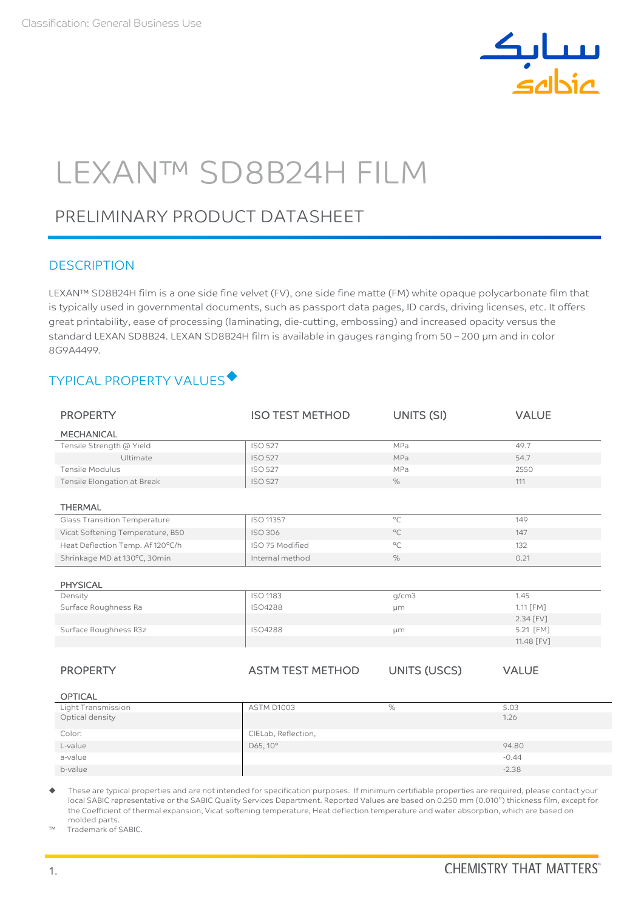

# LEXAN™ SD8B24H FILM

# PRELIMINARY PRODUCT DATASHEET

### **DESCRIPTION**

LEXAN™ SD8B24H film is a one side fine velvet (FV), one side fine matte (FM) white opaque polycarbonate film that is typically used in governmental documents, such as passport data pages, ID cards, driving licenses, etc. It offers great printability, ease of processing (laminating, die-cutting, embossing) and increased opacity versus the standard LEXAN SD8B24. LEXAN SD8B24H film is available in gauges ranging from 50 - 200 µm and in color 8G9A4499.

# TYPICAL PROPERTY VALUES

| <b>PROPERTY</b>                  | <b>ISO TEST METHOD</b>  | UNITS (SI)          | <b>VALUE</b> |
|----------------------------------|-------------------------|---------------------|--------------|
| <b>MECHANICAL</b>                |                         |                     |              |
| Tensile Strength @ Yield         | <b>ISO 527</b>          | MPa                 | 49.7         |
| Ultimate                         | <b>ISO 527</b>          | MPa                 | 54.7         |
| <b>Tensile Modulus</b>           | <b>ISO 527</b>          | MPa                 | 2550         |
| Tensile Elongation at Break      | <b>ISO 527</b>          | %                   | 111          |
|                                  |                         |                     |              |
| <b>THERMAL</b>                   |                         |                     |              |
| Glass Transition Temperature     | ISO 11357               | $^{\circ}$ C        | 149          |
| Vicat Softening Temperature, B50 | <b>ISO 306</b>          | $^{\circ}$ C        | 147          |
| Heat Deflection Temp. Af 120°C/h | ISO 75 Modified         | $^{\circ}$ C        | 132          |
| Shrinkage MD at 130°C, 30min     | Internal method         | $\%$                | 0.21         |
|                                  |                         |                     |              |
| <b>PHYSICAL</b>                  |                         |                     |              |
| Density                          | <b>ISO 1183</b>         | q/cm3               | 1.45         |
| Surface Roughness Ra             | <b>ISO4288</b>          | μm                  | 1.11 [FM]    |
|                                  |                         |                     | 2.34 [FV]    |
| Surface Roughness R3z            | <b>ISO4288</b>          | µm                  | 5.21 [FM]    |
|                                  |                         |                     | 11.48 [FV]   |
|                                  |                         |                     |              |
| <b>PROPERTY</b>                  | <b>ASTM TEST METHOD</b> | <b>UNITS (USCS)</b> | <b>VALUE</b> |
|                                  |                         |                     |              |
| <b>OPTICAL</b>                   |                         |                     |              |
| Light Transmission               | <b>ASTM D1003</b>       | $\%$                | 5.03         |
| Optical density                  |                         |                     | 1.26         |
| Color:                           | CIELab, Reflection,     |                     |              |
| L-value                          | D65, 10°                |                     | 94.80        |
| a-value                          |                         |                     | $-0.44$      |
| b-value                          |                         |                     | $-2.38$      |

 These are typical properties and are not intended for specification purposes. If minimum certifiable properties are required, please contact your local SABIC representative or the SABIC Quality Services Department. Reported Values are based on 0.250 mm (0.010") thickness film, except for the Coefficient of thermal expansion, Vicat softening temperature, Heat deflection temperature and water absorption, which are based on molded parts.

™ Trademark of SABIC.